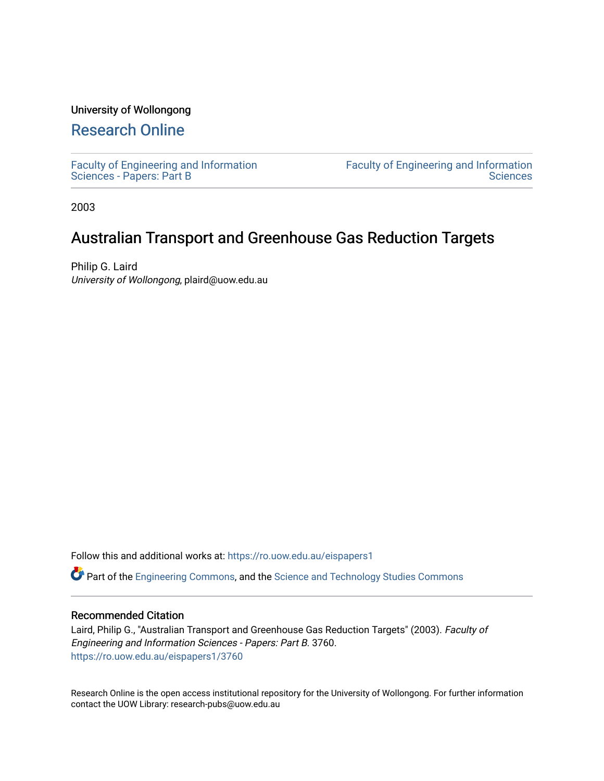## University of Wollongong

# [Research Online](https://ro.uow.edu.au/)

[Faculty of Engineering and Information](https://ro.uow.edu.au/eispapers1)  [Sciences - Papers: Part B](https://ro.uow.edu.au/eispapers1)

[Faculty of Engineering and Information](https://ro.uow.edu.au/eis)  **Sciences** 

2003

# Australian Transport and Greenhouse Gas Reduction Targets

Philip G. Laird University of Wollongong, plaird@uow.edu.au

Follow this and additional works at: [https://ro.uow.edu.au/eispapers1](https://ro.uow.edu.au/eispapers1?utm_source=ro.uow.edu.au%2Feispapers1%2F3760&utm_medium=PDF&utm_campaign=PDFCoverPages) 

Part of the [Engineering Commons](http://network.bepress.com/hgg/discipline/217?utm_source=ro.uow.edu.au%2Feispapers1%2F3760&utm_medium=PDF&utm_campaign=PDFCoverPages), and the [Science and Technology Studies Commons](http://network.bepress.com/hgg/discipline/435?utm_source=ro.uow.edu.au%2Feispapers1%2F3760&utm_medium=PDF&utm_campaign=PDFCoverPages)

## Recommended Citation

Laird, Philip G., "Australian Transport and Greenhouse Gas Reduction Targets" (2003). Faculty of Engineering and Information Sciences - Papers: Part B. 3760. [https://ro.uow.edu.au/eispapers1/3760](https://ro.uow.edu.au/eispapers1/3760?utm_source=ro.uow.edu.au%2Feispapers1%2F3760&utm_medium=PDF&utm_campaign=PDFCoverPages)

Research Online is the open access institutional repository for the University of Wollongong. For further information contact the UOW Library: research-pubs@uow.edu.au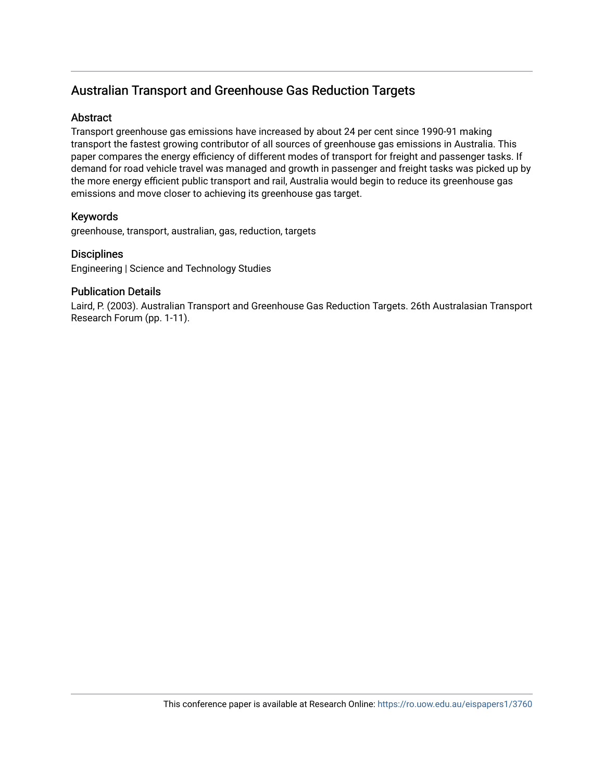# Australian Transport and Greenhouse Gas Reduction Targets

# **Abstract**

Transport greenhouse gas emissions have increased by about 24 per cent since 1990-91 making transport the fastest growing contributor of all sources of greenhouse gas emissions in Australia. This paper compares the energy efficiency of different modes of transport for freight and passenger tasks. If demand for road vehicle travel was managed and growth in passenger and freight tasks was picked up by the more energy efficient public transport and rail, Australia would begin to reduce its greenhouse gas emissions and move closer to achieving its greenhouse gas target.

# Keywords

greenhouse, transport, australian, gas, reduction, targets

## **Disciplines**

Engineering | Science and Technology Studies

## Publication Details

Laird, P. (2003). Australian Transport and Greenhouse Gas Reduction Targets. 26th Australasian Transport Research Forum (pp. 1-11).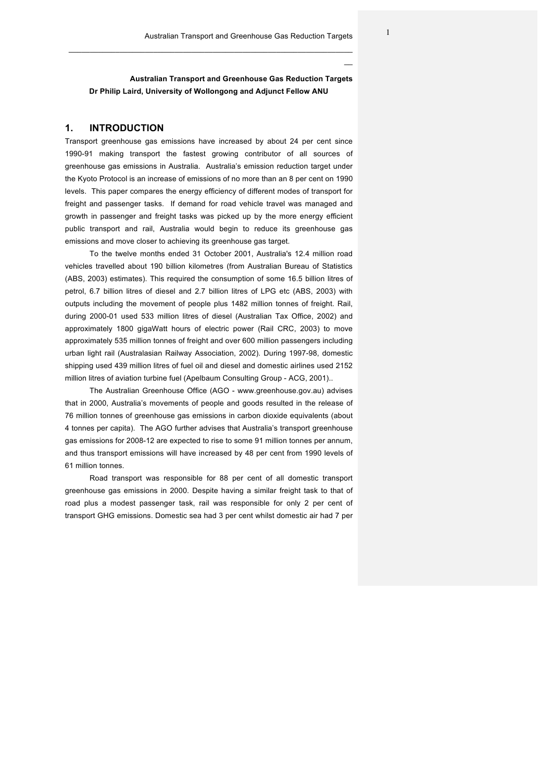**Australian Transport and Greenhouse Gas Reduction Targets Dr Philip Laird, University of Wollongong and Adjunct Fellow ANU**

 $\mathcal{L}_\mathcal{L} = \mathcal{L}_\mathcal{L} = \mathcal{L}_\mathcal{L} = \mathcal{L}_\mathcal{L} = \mathcal{L}_\mathcal{L} = \mathcal{L}_\mathcal{L} = \mathcal{L}_\mathcal{L} = \mathcal{L}_\mathcal{L} = \mathcal{L}_\mathcal{L} = \mathcal{L}_\mathcal{L} = \mathcal{L}_\mathcal{L} = \mathcal{L}_\mathcal{L} = \mathcal{L}_\mathcal{L} = \mathcal{L}_\mathcal{L} = \mathcal{L}_\mathcal{L} = \mathcal{L}_\mathcal{L} = \mathcal{L}_\mathcal{L}$ 

#### **1. INTRODUCTION**

Transport greenhouse gas emissions have increased by about 24 per cent since 1990-91 making transport the fastest growing contributor of all sources of greenhouse gas emissions in Australia. Australia's emission reduction target under the Kyoto Protocol is an increase of emissions of no more than an 8 per cent on 1990 levels. This paper compares the energy efficiency of different modes of transport for freight and passenger tasks. If demand for road vehicle travel was managed and growth in passenger and freight tasks was picked up by the more energy efficient public transport and rail, Australia would begin to reduce its greenhouse gas emissions and move closer to achieving its greenhouse gas target.

To the twelve months ended 31 October 2001, Australia's 12.4 million road vehicles travelled about 190 billion kilometres (from Australian Bureau of Statistics (ABS, 2003) estimates). This required the consumption of some 16.5 billion litres of petrol, 6.7 billion litres of diesel and 2.7 billion litres of LPG etc (ABS, 2003) with outputs including the movement of people plus 1482 million tonnes of freight. Rail, during 2000-01 used 533 million litres of diesel (Australian Tax Office, 2002) and approximately 1800 gigaWatt hours of electric power (Rail CRC, 2003) to move approximately 535 million tonnes of freight and over 600 million passengers including urban light rail (Australasian Railway Association, 2002). During 1997-98, domestic shipping used 439 million litres of fuel oil and diesel and domestic airlines used 2152 million litres of aviation turbine fuel (Apelbaum Consulting Group - ACG, 2001)..

The Australian Greenhouse Office (AGO - www.greenhouse.gov.au) advises that in 2000, Australia's movements of people and goods resulted in the release of 76 million tonnes of greenhouse gas emissions in carbon dioxide equivalents (about 4 tonnes per capita). The AGO further advises that Australia's transport greenhouse gas emissions for 2008-12 are expected to rise to some 91 million tonnes per annum, and thus transport emissions will have increased by 48 per cent from 1990 levels of 61 million tonnes.

Road transport was responsible for 88 per cent of all domestic transport greenhouse gas emissions in 2000. Despite having a similar freight task to that of road plus a modest passenger task, rail was responsible for only 2 per cent of transport GHG emissions. Domestic sea had 3 per cent whilst domestic air had 7 per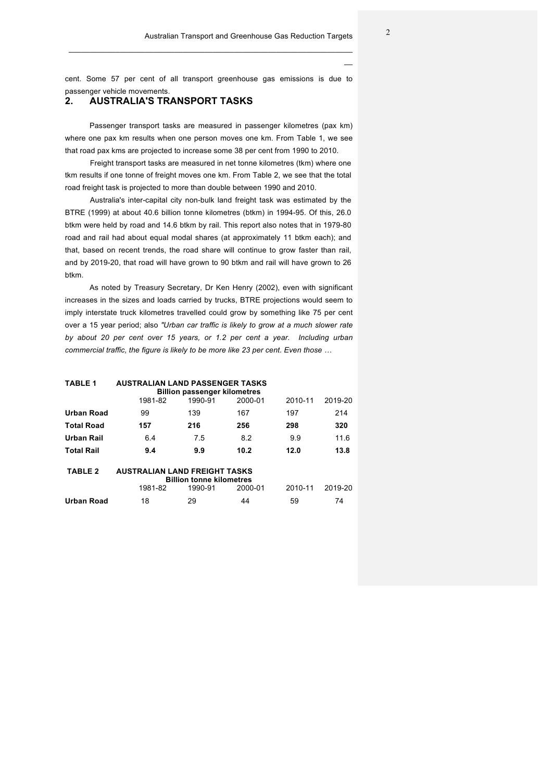cent. Some 57 per cent of all transport greenhouse gas emissions is due to passenger vehicle movements.

 $\mathcal{L}_\mathcal{L} = \mathcal{L}_\mathcal{L} = \mathcal{L}_\mathcal{L} = \mathcal{L}_\mathcal{L} = \mathcal{L}_\mathcal{L} = \mathcal{L}_\mathcal{L} = \mathcal{L}_\mathcal{L} = \mathcal{L}_\mathcal{L} = \mathcal{L}_\mathcal{L} = \mathcal{L}_\mathcal{L} = \mathcal{L}_\mathcal{L} = \mathcal{L}_\mathcal{L} = \mathcal{L}_\mathcal{L} = \mathcal{L}_\mathcal{L} = \mathcal{L}_\mathcal{L} = \mathcal{L}_\mathcal{L} = \mathcal{L}_\mathcal{L}$ 

## **2. AUSTRALIA'S TRANSPORT TASKS**

Passenger transport tasks are measured in passenger kilometres (pax km) where one pax km results when one person moves one km. From Table 1, we see that road pax kms are projected to increase some 38 per cent from 1990 to 2010.

Freight transport tasks are measured in net tonne kilometres (tkm) where one tkm results if one tonne of freight moves one km. From Table 2, we see that the total road freight task is projected to more than double between 1990 and 2010.

Australia's inter-capital city non-bulk land freight task was estimated by the BTRE (1999) at about 40.6 billion tonne kilometres (btkm) in 1994-95. Of this, 26.0 btkm were held by road and 14.6 btkm by rail. This report also notes that in 1979-80 road and rail had about equal modal shares (at approximately 11 btkm each); and that, based on recent trends, the road share will continue to grow faster than rail, and by 2019-20, that road will have grown to 90 btkm and rail will have grown to 26 btkm.

As noted by Treasury Secretary, Dr Ken Henry (2002), even with significant increases in the sizes and loads carried by trucks, BTRE projections would seem to imply interstate truck kilometres travelled could grow by something like 75 per cent over a 15 year period; also *"Urban car traffic is likely to grow at a much slower rate by about 20 per cent over 15 years, or 1.2 per cent a year. Including urban commercial traffic, the figure is likely to be more like 23 per cent. Even those …*

| <b>TABLE 1</b><br><b>AUSTRALIAN LAND PASSENGER TASKS</b><br><b>Billion passenger kilometres</b> |         |         |         |         |         |  |  |  |
|-------------------------------------------------------------------------------------------------|---------|---------|---------|---------|---------|--|--|--|
|                                                                                                 | 1981-82 | 1990-91 | 2000-01 | 2010-11 | 2019-20 |  |  |  |
| Urban Road                                                                                      | 99      | 139     | 167     | 197     | 214     |  |  |  |
| <b>Total Road</b>                                                                               | 157     | 216     | 256     | 298     | 320     |  |  |  |
| Urban Rail                                                                                      | 6.4     | 7.5     | 8.2     | 9.9     | 11.6    |  |  |  |
| <b>Total Rail</b>                                                                               | 9.4     | 9.9     | 10.2    | 12.0    | 13.8    |  |  |  |
| <b>TABLE 2</b><br><b>AUSTRALIAN LAND FREIGHT TASKS</b><br><b>Billion tonne kilometres</b>       |         |         |         |         |         |  |  |  |
|                                                                                                 | 1981-82 | 1990-91 | 2000-01 | 2010-11 | 2019-20 |  |  |  |
| Urban Road                                                                                      | 18      | 29      | 44      | 59      | 74      |  |  |  |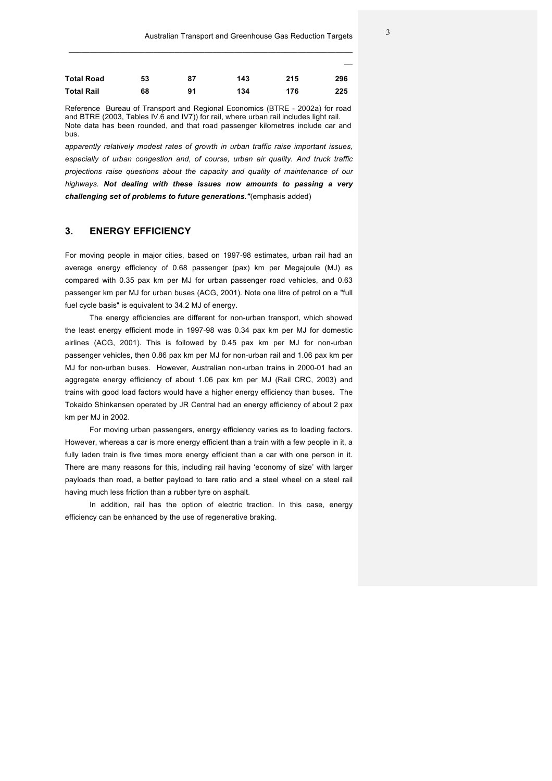| <b>Total Road</b> | 53 | 87 | 143 | 215 | 296 |
|-------------------|----|----|-----|-----|-----|
| <b>Total Rail</b> | 68 | 91 | 134 | 176 | 225 |

 $\mathcal{L}_\mathcal{L} = \mathcal{L}_\mathcal{L} = \mathcal{L}_\mathcal{L} = \mathcal{L}_\mathcal{L} = \mathcal{L}_\mathcal{L} = \mathcal{L}_\mathcal{L} = \mathcal{L}_\mathcal{L} = \mathcal{L}_\mathcal{L} = \mathcal{L}_\mathcal{L} = \mathcal{L}_\mathcal{L} = \mathcal{L}_\mathcal{L} = \mathcal{L}_\mathcal{L} = \mathcal{L}_\mathcal{L} = \mathcal{L}_\mathcal{L} = \mathcal{L}_\mathcal{L} = \mathcal{L}_\mathcal{L} = \mathcal{L}_\mathcal{L}$ 

Reference Bureau of Transport and Regional Economics (BTRE - 2002a) for road and BTRE (2003, Tables IV.6 and IV7)) for rail, where urban rail includes light rail. Note data has been rounded, and that road passenger kilometres include car and bus.

*apparently relatively modest rates of growth in urban traffic raise important issues, especially of urban congestion and, of course, urban air quality. And truck traffic projections raise questions about the capacity and quality of maintenance of our highways. Not dealing with these issues now amounts to passing a very challenging set of problems to future generations."*(emphasis added)

### **3. ENERGY EFFICIENCY**

For moving people in major cities, based on 1997-98 estimates, urban rail had an average energy efficiency of 0.68 passenger (pax) km per Megajoule (MJ) as compared with 0.35 pax km per MJ for urban passenger road vehicles, and 0.63 passenger km per MJ for urban buses (ACG, 2001). Note one litre of petrol on a "full fuel cycle basis" is equivalent to 34.2 MJ of energy.

The energy efficiencies are different for non-urban transport, which showed the least energy efficient mode in 1997-98 was 0.34 pax km per MJ for domestic airlines (ACG, 2001). This is followed by 0.45 pax km per MJ for non-urban passenger vehicles, then 0.86 pax km per MJ for non-urban rail and 1.06 pax km per MJ for non-urban buses. However, Australian non-urban trains in 2000-01 had an aggregate energy efficiency of about 1.06 pax km per MJ (Rail CRC, 2003) and trains with good load factors would have a higher energy efficiency than buses. The Tokaido Shinkansen operated by JR Central had an energy efficiency of about 2 pax km per MJ in 2002.

For moving urban passengers, energy efficiency varies as to loading factors. However, whereas a car is more energy efficient than a train with a few people in it, a fully laden train is five times more energy efficient than a car with one person in it. There are many reasons for this, including rail having 'economy of size' with larger payloads than road, a better payload to tare ratio and a steel wheel on a steel rail having much less friction than a rubber tyre on asphalt.

In addition, rail has the option of electric traction. In this case, energy efficiency can be enhanced by the use of regenerative braking.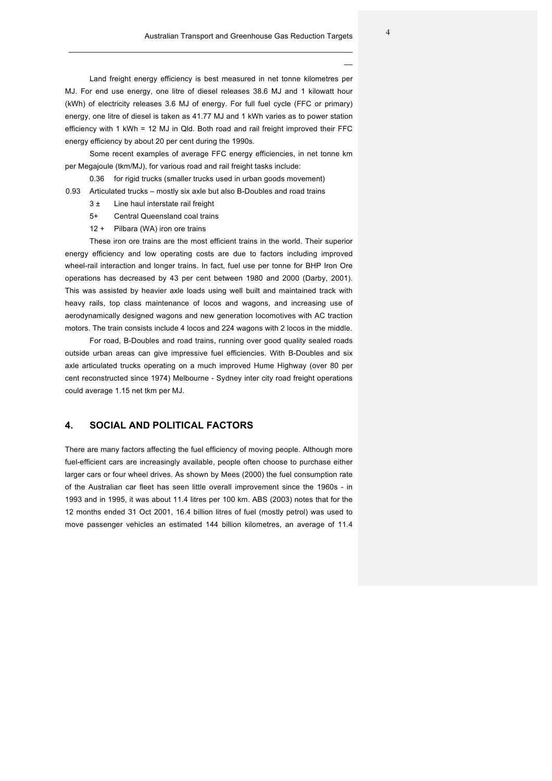Land freight energy efficiency is best measured in net tonne kilometres per MJ. For end use energy, one litre of diesel releases 38.6 MJ and 1 kilowatt hour (kWh) of electricity releases 3.6 MJ of energy. For full fuel cycle (FFC or primary) energy, one litre of diesel is taken as 41.77 MJ and 1 kWh varies as to power station efficiency with 1 kWh = 12 MJ in Qld. Both road and rail freight improved their FFC energy efficiency by about 20 per cent during the 1990s.

 $\mathcal{L}_\mathcal{L} = \mathcal{L}_\mathcal{L} = \mathcal{L}_\mathcal{L} = \mathcal{L}_\mathcal{L} = \mathcal{L}_\mathcal{L} = \mathcal{L}_\mathcal{L} = \mathcal{L}_\mathcal{L} = \mathcal{L}_\mathcal{L} = \mathcal{L}_\mathcal{L} = \mathcal{L}_\mathcal{L} = \mathcal{L}_\mathcal{L} = \mathcal{L}_\mathcal{L} = \mathcal{L}_\mathcal{L} = \mathcal{L}_\mathcal{L} = \mathcal{L}_\mathcal{L} = \mathcal{L}_\mathcal{L} = \mathcal{L}_\mathcal{L}$ 

Some recent examples of average FFC energy efficiencies, in net tonne km per Megajoule (tkm/MJ), for various road and rail freight tasks include:

0.36 for rigid trucks (smaller trucks used in urban goods movement)

- 0.93 Articulated trucks mostly six axle but also B-Doubles and road trains
	- 3 ± Line haul interstate rail freight
	- 5+ Central Queensland coal trains
	- 12 + Pilbara (WA) iron ore trains

These iron ore trains are the most efficient trains in the world. Their superior energy efficiency and low operating costs are due to factors including improved wheel-rail interaction and longer trains. In fact, fuel use per tonne for BHP Iron Ore operations has decreased by 43 per cent between 1980 and 2000 (Darby, 2001). This was assisted by heavier axle loads using well built and maintained track with heavy rails, top class maintenance of locos and wagons, and increasing use of aerodynamically designed wagons and new generation locomotives with AC traction motors. The train consists include 4 locos and 224 wagons with 2 locos in the middle.

For road, B-Doubles and road trains, running over good quality sealed roads outside urban areas can give impressive fuel efficiencies. With B-Doubles and six axle articulated trucks operating on a much improved Hume Highway (over 80 per cent reconstructed since 1974) Melbourne - Sydney inter city road freight operations could average 1.15 net tkm per MJ.

#### **4. SOCIAL AND POLITICAL FACTORS**

There are many factors affecting the fuel efficiency of moving people. Although more fuel-efficient cars are increasingly available, people often choose to purchase either larger cars or four wheel drives. As shown by Mees (2000) the fuel consumption rate of the Australian car fleet has seen little overall improvement since the 1960s - in 1993 and in 1995, it was about 11.4 litres per 100 km. ABS (2003) notes that for the 12 months ended 31 Oct 2001, 16.4 billion litres of fuel (mostly petrol) was used to move passenger vehicles an estimated 144 billion kilometres, an average of 11.4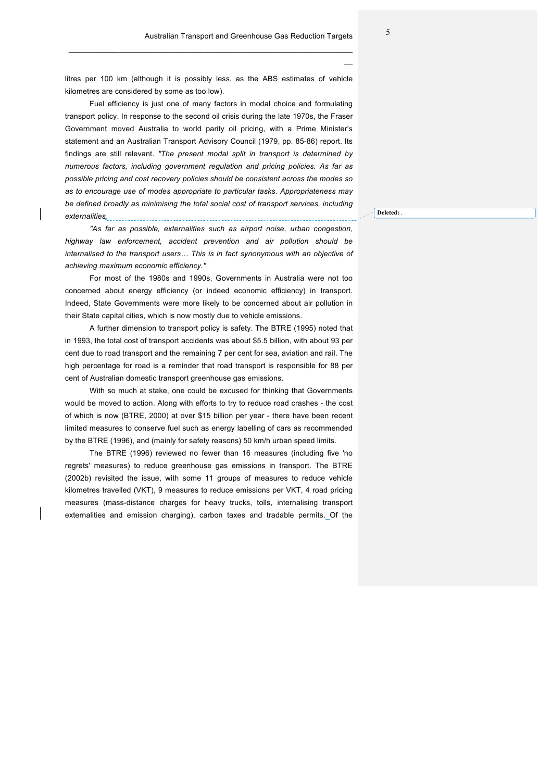litres per 100 km (although it is possibly less, as the ABS estimates of vehicle kilometres are considered by some as too low).

 $\mathcal{L}_\mathcal{L} = \mathcal{L}_\mathcal{L} = \mathcal{L}_\mathcal{L} = \mathcal{L}_\mathcal{L} = \mathcal{L}_\mathcal{L} = \mathcal{L}_\mathcal{L} = \mathcal{L}_\mathcal{L} = \mathcal{L}_\mathcal{L} = \mathcal{L}_\mathcal{L} = \mathcal{L}_\mathcal{L} = \mathcal{L}_\mathcal{L} = \mathcal{L}_\mathcal{L} = \mathcal{L}_\mathcal{L} = \mathcal{L}_\mathcal{L} = \mathcal{L}_\mathcal{L} = \mathcal{L}_\mathcal{L} = \mathcal{L}_\mathcal{L}$ 

Fuel efficiency is just one of many factors in modal choice and formulating transport policy. In response to the second oil crisis during the late 1970s, the Fraser Government moved Australia to world parity oil pricing, with a Prime Minister's statement and an Australian Transport Advisory Council (1979, pp. 85-86) report. Its findings are still relevant. *"The present modal split in transport is determined by numerous factors, including government regulation and pricing policies. As far as possible pricing and cost recovery policies should be consistent across the modes so as to encourage use of modes appropriate to particular tasks. Appropriateness may be defined broadly as minimising the total social cost of transport services, including externalities*

*"As far as possible, externalities such as airport noise, urban congestion, highway law enforcement, accident prevention and air pollution should be internalised to the transport users… This is in fact synonymous with an objective of achieving maximum economic efficiency."*

For most of the 1980s and 1990s, Governments in Australia were not too concerned about energy efficiency (or indeed economic efficiency) in transport. Indeed, State Governments were more likely to be concerned about air pollution in their State capital cities, which is now mostly due to vehicle emissions.

A further dimension to transport policy is safety. The BTRE (1995) noted that in 1993, the total cost of transport accidents was about \$5.5 billion, with about 93 per cent due to road transport and the remaining 7 per cent for sea, aviation and rail. The high percentage for road is a reminder that road transport is responsible for 88 per cent of Australian domestic transport greenhouse gas emissions.

With so much at stake, one could be excused for thinking that Governments would be moved to action. Along with efforts to try to reduce road crashes - the cost of which is now (BTRE, 2000) at over \$15 billion per year - there have been recent limited measures to conserve fuel such as energy labelling of cars as recommended by the BTRE (1996), and (mainly for safety reasons) 50 km/h urban speed limits.

The BTRE (1996) reviewed no fewer than 16 measures (including five 'no regrets' measures) to reduce greenhouse gas emissions in transport. The BTRE (2002b) revisited the issue, with some 11 groups of measures to reduce vehicle kilometres travelled (VKT), 9 measures to reduce emissions per VKT, 4 road pricing measures (mass-distance charges for heavy trucks, tolls, internalising transport externalities and emission charging), carbon taxes and tradable permits. Of the

**Deleted:** *.*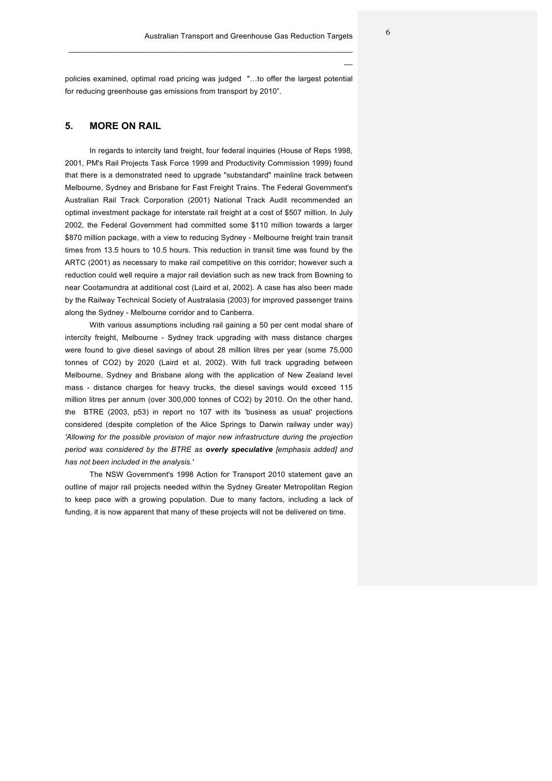policies examined, optimal road pricing was judged "…to offer the largest potential for reducing greenhouse gas emissions from transport by 2010".

 $\mathcal{L}_\mathcal{L} = \mathcal{L}_\mathcal{L} = \mathcal{L}_\mathcal{L} = \mathcal{L}_\mathcal{L} = \mathcal{L}_\mathcal{L} = \mathcal{L}_\mathcal{L} = \mathcal{L}_\mathcal{L} = \mathcal{L}_\mathcal{L} = \mathcal{L}_\mathcal{L} = \mathcal{L}_\mathcal{L} = \mathcal{L}_\mathcal{L} = \mathcal{L}_\mathcal{L} = \mathcal{L}_\mathcal{L} = \mathcal{L}_\mathcal{L} = \mathcal{L}_\mathcal{L} = \mathcal{L}_\mathcal{L} = \mathcal{L}_\mathcal{L}$ 

#### **5. MORE ON RAIL**

In regards to intercity land freight, four federal inquiries (House of Reps 1998, 2001, PM's Rail Projects Task Force 1999 and Productivity Commission 1999) found that there is a demonstrated need to upgrade "substandard" mainline track between Melbourne, Sydney and Brisbane for Fast Freight Trains. The Federal Government's Australian Rail Track Corporation (2001) National Track Audit recommended an optimal investment package for interstate rail freight at a cost of \$507 million. In July 2002, the Federal Government had committed some \$110 million towards a larger \$870 million package, with a view to reducing Sydney - Melbourne freight train transit times from 13.5 hours to 10.5 hours. This reduction in transit time was found by the ARTC (2001) as necessary to make rail competitive on this corridor; however such a reduction could well require a major rail deviation such as new track from Bowning to near Cootamundra at additional cost (Laird et al, 2002). A case has also been made by the Railway Technical Society of Australasia (2003) for improved passenger trains along the Sydney - Melbourne corridor and to Canberra.

With various assumptions including rail gaining a 50 per cent modal share of intercity freight, Melbourne - Sydney track upgrading with mass distance charges were found to give diesel savings of about 28 million litres per year (some 75,000 tonnes of CO2) by 2020 (Laird et al, 2002). With full track upgrading between Melbourne, Sydney and Brisbane along with the application of New Zealand level mass - distance charges for heavy trucks, the diesel savings would exceed 115 million litres per annum (over 300,000 tonnes of CO2) by 2010. On the other hand, the BTRE (2003, p53) in report no 107 with its 'business as usual' projections considered (despite completion of the Alice Springs to Darwin railway under way) *'Allowing for the possible provision of major new infrastructure during the projection period was considered by the BTRE as overly speculative [emphasis added] and has not been included in the analysis.'*

The NSW Government's 1998 Action for Transport 2010 statement gave an outline of major rail projects needed within the Sydney Greater Metropolitan Region to keep pace with a growing population. Due to many factors, including a lack of funding, it is now apparent that many of these projects will not be delivered on time.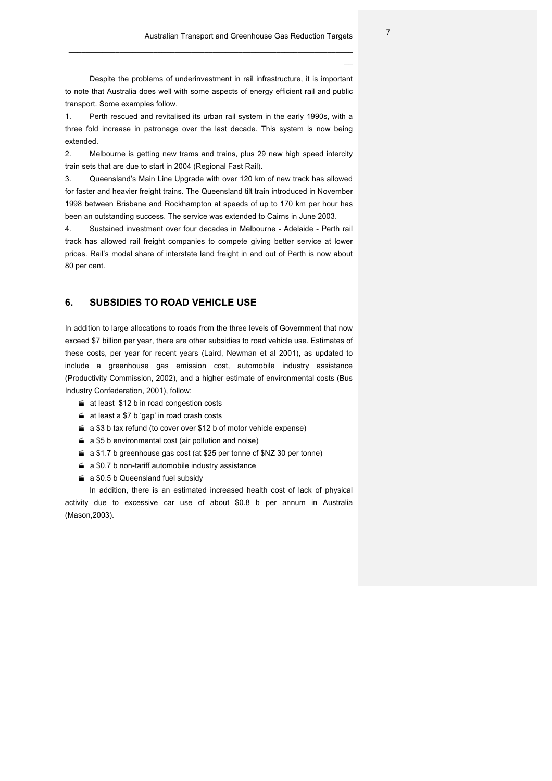Despite the problems of underinvestment in rail infrastructure, it is important to note that Australia does well with some aspects of energy efficient rail and public transport. Some examples follow.

 $\mathcal{L}_\mathcal{L} = \mathcal{L}_\mathcal{L} = \mathcal{L}_\mathcal{L} = \mathcal{L}_\mathcal{L} = \mathcal{L}_\mathcal{L} = \mathcal{L}_\mathcal{L} = \mathcal{L}_\mathcal{L} = \mathcal{L}_\mathcal{L} = \mathcal{L}_\mathcal{L} = \mathcal{L}_\mathcal{L} = \mathcal{L}_\mathcal{L} = \mathcal{L}_\mathcal{L} = \mathcal{L}_\mathcal{L} = \mathcal{L}_\mathcal{L} = \mathcal{L}_\mathcal{L} = \mathcal{L}_\mathcal{L} = \mathcal{L}_\mathcal{L}$ 

1. Perth rescued and revitalised its urban rail system in the early 1990s, with a three fold increase in patronage over the last decade. This system is now being extended.

2. Melbourne is getting new trams and trains, plus 29 new high speed intercity train sets that are due to start in 2004 (Regional Fast Rail).

3. Queensland's Main Line Upgrade with over 120 km of new track has allowed for faster and heavier freight trains. The Queensland tilt train introduced in November 1998 between Brisbane and Rockhampton at speeds of up to 170 km per hour has been an outstanding success. The service was extended to Cairns in June 2003.

4. Sustained investment over four decades in Melbourne - Adelaide - Perth rail track has allowed rail freight companies to compete giving better service at lower prices. Rail's modal share of interstate land freight in and out of Perth is now about 80 per cent.

### **6. SUBSIDIES TO ROAD VEHICLE USE**

In addition to large allocations to roads from the three levels of Government that now exceed \$7 billion per year, there are other subsidies to road vehicle use. Estimates of these costs, per year for recent years (Laird, Newman et al 2001), as updated to include a greenhouse gas emission cost, automobile industry assistance (Productivity Commission, 2002), and a higher estimate of environmental costs (Bus Industry Confederation, 2001), follow:

- $\leq$  at least \$12 b in road congestion costs
- $\leq$  at least a \$7 b 'gap' in road crash costs
- $\leq a$  \$3 b tax refund (to cover over \$12 b of motor vehicle expense)
- $\leq a$  \$5 b environmental cost (air pollution and noise)
- $\leq a$  \$1.7 b greenhouse gas cost (at \$25 per tonne cf \$NZ 30 per tonne)
- $\leq a$  \$0.7 b non-tariff automobile industry assistance
- $\leq$  a \$0.5 b Queensland fuel subsidy

In addition, there is an estimated increased health cost of lack of physical activity due to excessive car use of about \$0.8 b per annum in Australia (Mason,2003).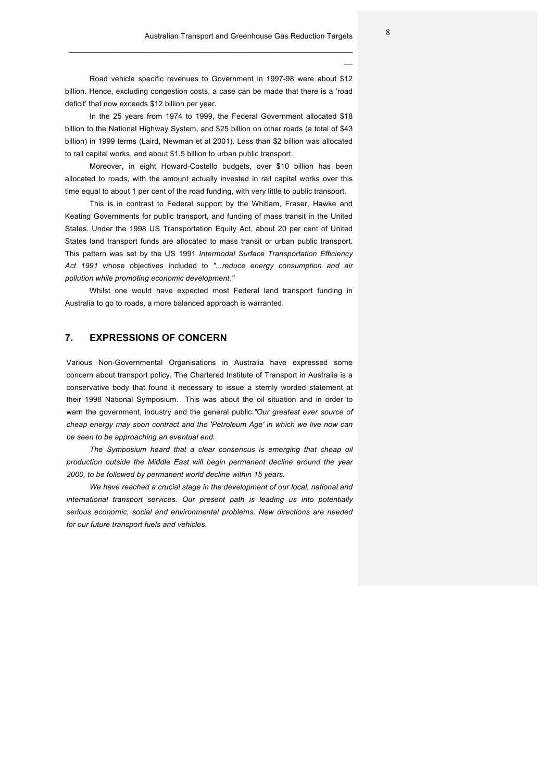Road vehicle specific revenues to Government in 1997-98 were about \$12 billion. Hence, excluding congestion costs, a case can be made that there is a 'road deficit' that now exceeds \$12 billion per year.

 $\mathcal{L}_\mathcal{L} = \mathcal{L}_\mathcal{L} = \mathcal{L}_\mathcal{L} = \mathcal{L}_\mathcal{L} = \mathcal{L}_\mathcal{L} = \mathcal{L}_\mathcal{L} = \mathcal{L}_\mathcal{L} = \mathcal{L}_\mathcal{L} = \mathcal{L}_\mathcal{L} = \mathcal{L}_\mathcal{L} = \mathcal{L}_\mathcal{L} = \mathcal{L}_\mathcal{L} = \mathcal{L}_\mathcal{L} = \mathcal{L}_\mathcal{L} = \mathcal{L}_\mathcal{L} = \mathcal{L}_\mathcal{L} = \mathcal{L}_\mathcal{L}$ 

In the 25 years from 1974 to 1999, the Federal Government allocated \$18 billion to the National Highway System, and \$25 billion on other roads (a total of \$43 billion) in 1999 terms (Laird, Newman et al 2001). Less than \$2 billion was allocated to rail capital works, and about \$1.5 billion to urban public transport.

Moreover, in eight Howard-Costello budgets, over \$10 billion has been allocated to roads, with the amount actually invested in rail capital works over this time equal to about 1 per cent of the road funding, with very little to public transport.

This is in contrast to Federal support by the Whitlam, Fraser, Hawke and Keating Governments for public transport, and funding of mass transit in the United States. Under the 1998 US Transportation Equity Act, about 20 per cent of United States land transport funds are allocated to mass transit or urban public transport. This pattern was set by the US 1991 *Intermodal Surface Transportation Efficiency Act 1991* whose objectives included to *"...reduce energy consumption and air pollution while promoting economic development."* 

Whilst one would have expected most Federal land transport funding in Australia to go to roads, a more balanced approach is warranted.

### **7. EXPRESSIONS OF CONCERN**

Various Non-Governmental Organisations in Australia have expressed some concern about transport policy. The Chartered Institute of Transport in Australia is a conservative body that found it necessary to issue a sternly worded statement at their 1998 National Symposium. This was about the oil situation and in order to warn the government, industry and the general public:*"Our greatest ever source of cheap energy may soon contract and the 'Petroleum Age' in which we live now can be seen to be approaching an eventual end.*

*The Symposium heard that a clear consensus is emerging that cheap oil production outside the Middle East will begin permanent decline around the year 2000, to be followed by permanent world decline within 15 years.*

*We have reached a crucial stage in the development of our local, national and international transport services. Our present path is leading us into potentially serious economic, social and environmental problems. New directions are needed for our future transport fuels and vehicles.*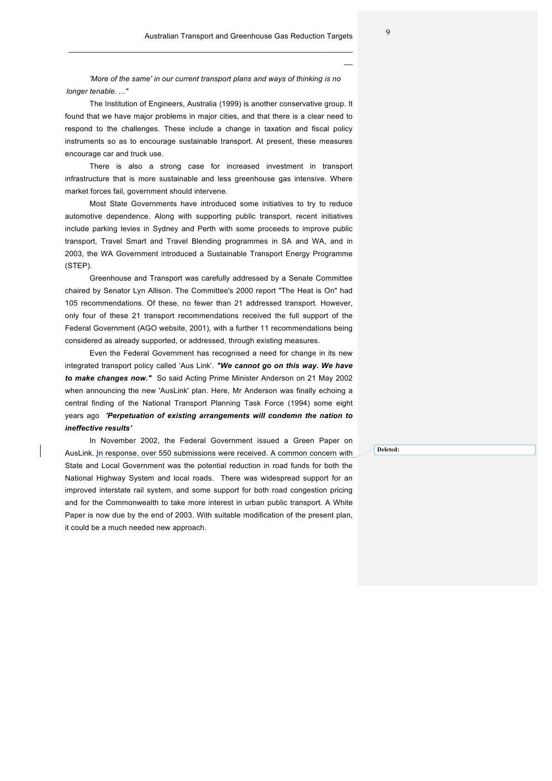*'More of the same' in our current transport plans and ways of thinking is no longer tenable. ..."*

 $\mathcal{L}_\mathcal{L} = \mathcal{L}_\mathcal{L} = \mathcal{L}_\mathcal{L} = \mathcal{L}_\mathcal{L} = \mathcal{L}_\mathcal{L} = \mathcal{L}_\mathcal{L} = \mathcal{L}_\mathcal{L} = \mathcal{L}_\mathcal{L} = \mathcal{L}_\mathcal{L} = \mathcal{L}_\mathcal{L} = \mathcal{L}_\mathcal{L} = \mathcal{L}_\mathcal{L} = \mathcal{L}_\mathcal{L} = \mathcal{L}_\mathcal{L} = \mathcal{L}_\mathcal{L} = \mathcal{L}_\mathcal{L} = \mathcal{L}_\mathcal{L}$ 

The Institution of Engineers, Australia (1999) is another conservative group. It found that we have major problems in major cities, and that there is a clear need to respond to the challenges. These include a change in taxation and fiscal policy instruments so as to encourage sustainable transport. At present, these measures encourage car and truck use.

There is also a strong case for increased investment in transport infrastructure that is more sustainable and less greenhouse gas intensive. Where market forces fail, government should intervene.

Most State Governments have introduced some initiatives to try to reduce automotive dependence. Along with supporting public transport, recent initiatives include parking levies in Sydney and Perth with some proceeds to improve public transport, Travel Smart and Travel Blending programmes in SA and WA, and in 2003, the WA Government introduced a Sustainable Transport Energy Programme (STEP).

Greenhouse and Transport was carefully addressed by a Senate Committee chaired by Senator Lyn Allison. The Committee's 2000 report "The Heat is On" had 105 recommendations. Of these, no fewer than 21 addressed transport. However, only four of these 21 transport recommendations received the full support of the Federal Government (AGO website, 2001), with a further 11 recommendations being considered as already supported, or addressed, through existing measures.

Even the Federal Government has recognised a need for change in its new integrated transport policy called 'Aus Link'. *"We cannot go on this way. We have to make changes now."* So said Acting Prime Minister Anderson on 21 May 2002 when announcing the new 'AusLink' plan. Here, Mr Anderson was finally echoing a central finding of the National Transport Planning Task Force (1994) some eight years ago *'Perpetuation of existing arrangements will condemn the nation to ineffective results'* 

In November 2002, the Federal Government issued a Green Paper on AusLink. In response, over 550 submissions were received. A common concern with State and Local Government was the potential reduction in road funds for both the National Highway System and local roads. There was widespread support for an improved interstate rail system, and some support for both road congestion pricing and for the Commonwealth to take more interest in urban public transport. A White Paper is now due by the end of 2003. With suitable modification of the present plan, it could be a much needed new approach.

**Deleted:**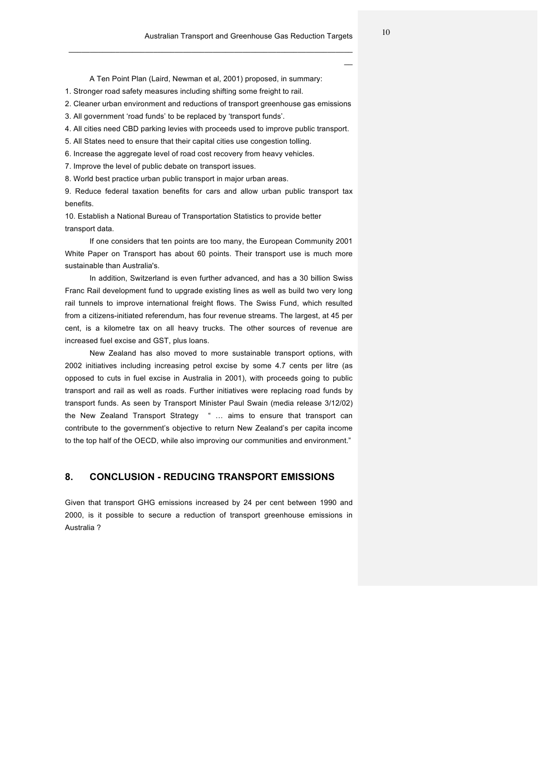A Ten Point Plan (Laird, Newman et al, 2001) proposed, in summary:

 $\mathcal{L}_\mathcal{L} = \mathcal{L}_\mathcal{L} = \mathcal{L}_\mathcal{L} = \mathcal{L}_\mathcal{L} = \mathcal{L}_\mathcal{L} = \mathcal{L}_\mathcal{L} = \mathcal{L}_\mathcal{L} = \mathcal{L}_\mathcal{L} = \mathcal{L}_\mathcal{L} = \mathcal{L}_\mathcal{L} = \mathcal{L}_\mathcal{L} = \mathcal{L}_\mathcal{L} = \mathcal{L}_\mathcal{L} = \mathcal{L}_\mathcal{L} = \mathcal{L}_\mathcal{L} = \mathcal{L}_\mathcal{L} = \mathcal{L}_\mathcal{L}$ 

1. Stronger road safety measures including shifting some freight to rail.

2. Cleaner urban environment and reductions of transport greenhouse gas emissions

3. All government 'road funds' to be replaced by 'transport funds'.

- 4. All cities need CBD parking levies with proceeds used to improve public transport.
- 5. All States need to ensure that their capital cities use congestion tolling.
- 6. Increase the aggregate level of road cost recovery from heavy vehicles.

7. Improve the level of public debate on transport issues.

8. World best practice urban public transport in major urban areas.

9. Reduce federal taxation benefits for cars and allow urban public transport tax benefits.

10. Establish a National Bureau of Transportation Statistics to provide better transport data.

If one considers that ten points are too many, the European Community 2001 White Paper on Transport has about 60 points. Their transport use is much more sustainable than Australia's.

In addition, Switzerland is even further advanced, and has a 30 billion Swiss Franc Rail development fund to upgrade existing lines as well as build two very long rail tunnels to improve international freight flows. The Swiss Fund, which resulted from a citizens-initiated referendum, has four revenue streams. The largest, at 45 per cent, is a kilometre tax on all heavy trucks. The other sources of revenue are increased fuel excise and GST, plus loans.

New Zealand has also moved to more sustainable transport options, with 2002 initiatives including increasing petrol excise by some 4.7 cents per litre (as opposed to cuts in fuel excise in Australia in 2001), with proceeds going to public transport and rail as well as roads. Further initiatives were replacing road funds by transport funds. As seen by Transport Minister Paul Swain (media release 3/12/02) the New Zealand Transport Strategy " … aims to ensure that transport can contribute to the government's objective to return New Zealand's per capita income to the top half of the OECD, while also improving our communities and environment."

### **8. CONCLUSION - REDUCING TRANSPORT EMISSIONS**

Given that transport GHG emissions increased by 24 per cent between 1990 and 2000, is it possible to secure a reduction of transport greenhouse emissions in Australia ?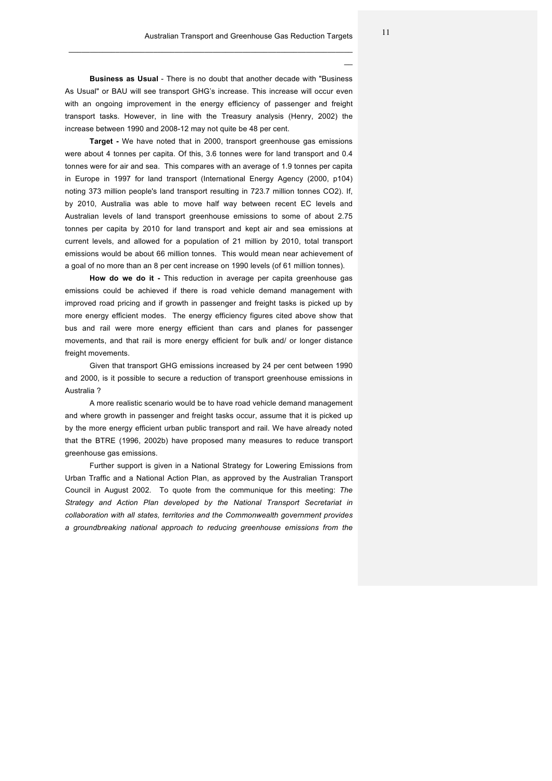**Business as Usual** - There is no doubt that another decade with "Business As Usual" or BAU will see transport GHG's increase. This increase will occur even with an ongoing improvement in the energy efficiency of passenger and freight transport tasks. However, in line with the Treasury analysis (Henry, 2002) the increase between 1990 and 2008-12 may not quite be 48 per cent.

 $\mathcal{L}_\mathcal{L} = \mathcal{L}_\mathcal{L} = \mathcal{L}_\mathcal{L} = \mathcal{L}_\mathcal{L} = \mathcal{L}_\mathcal{L} = \mathcal{L}_\mathcal{L} = \mathcal{L}_\mathcal{L} = \mathcal{L}_\mathcal{L} = \mathcal{L}_\mathcal{L} = \mathcal{L}_\mathcal{L} = \mathcal{L}_\mathcal{L} = \mathcal{L}_\mathcal{L} = \mathcal{L}_\mathcal{L} = \mathcal{L}_\mathcal{L} = \mathcal{L}_\mathcal{L} = \mathcal{L}_\mathcal{L} = \mathcal{L}_\mathcal{L}$ 

**Target -** We have noted that in 2000, transport greenhouse gas emissions were about 4 tonnes per capita. Of this, 3.6 tonnes were for land transport and 0.4 tonnes were for air and sea. This compares with an average of 1.9 tonnes per capita in Europe in 1997 for land transport (International Energy Agency (2000, p104) noting 373 million people's land transport resulting in 723.7 million tonnes CO2). If, by 2010, Australia was able to move half way between recent EC levels and Australian levels of land transport greenhouse emissions to some of about 2.75 tonnes per capita by 2010 for land transport and kept air and sea emissions at current levels, and allowed for a population of 21 million by 2010, total transport emissions would be about 66 million tonnes. This would mean near achievement of a goal of no more than an 8 per cent increase on 1990 levels (of 61 million tonnes).

**How do we do it -** This reduction in average per capita greenhouse gas emissions could be achieved if there is road vehicle demand management with improved road pricing and if growth in passenger and freight tasks is picked up by more energy efficient modes. The energy efficiency figures cited above show that bus and rail were more energy efficient than cars and planes for passenger movements, and that rail is more energy efficient for bulk and/ or longer distance freight movements.

Given that transport GHG emissions increased by 24 per cent between 1990 and 2000, is it possible to secure a reduction of transport greenhouse emissions in Australia ?

A more realistic scenario would be to have road vehicle demand management and where growth in passenger and freight tasks occur, assume that it is picked up by the more energy efficient urban public transport and rail. We have already noted that the BTRE (1996, 2002b) have proposed many measures to reduce transport greenhouse gas emissions.

Further support is given in a National Strategy for Lowering Emissions from Urban Traffic and a National Action Plan, as approved by the Australian Transport Council in August 2002. To quote from the communique for this meeting: *The Strategy and Action Plan developed by the National Transport Secretariat in collaboration with all states, territories and the Commonwealth government provides a groundbreaking national approach to reducing greenhouse emissions from the*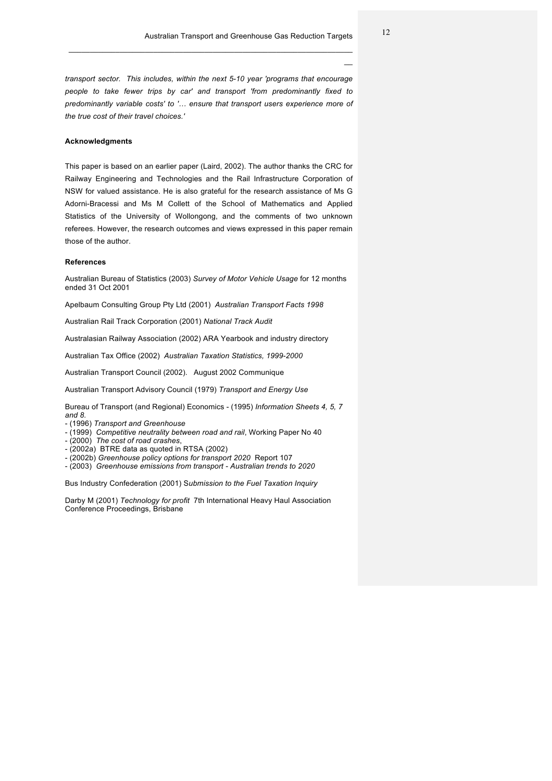*transport sector. This includes, within the next 5-10 year 'programs that encourage people to take fewer trips by car' and transport 'from predominantly fixed to predominantly variable costs' to '… ensure that transport users experience more of the true cost of their travel choices.'* 

 $\mathcal{L}_\mathcal{L} = \mathcal{L}_\mathcal{L} = \mathcal{L}_\mathcal{L} = \mathcal{L}_\mathcal{L} = \mathcal{L}_\mathcal{L} = \mathcal{L}_\mathcal{L} = \mathcal{L}_\mathcal{L} = \mathcal{L}_\mathcal{L} = \mathcal{L}_\mathcal{L} = \mathcal{L}_\mathcal{L} = \mathcal{L}_\mathcal{L} = \mathcal{L}_\mathcal{L} = \mathcal{L}_\mathcal{L} = \mathcal{L}_\mathcal{L} = \mathcal{L}_\mathcal{L} = \mathcal{L}_\mathcal{L} = \mathcal{L}_\mathcal{L}$ 

#### **Acknowledgments**

This paper is based on an earlier paper (Laird, 2002). The author thanks the CRC for Railway Engineering and Technologies and the Rail Infrastructure Corporation of NSW for valued assistance. He is also grateful for the research assistance of Ms G Adorni-Bracessi and Ms M Collett of the School of Mathematics and Applied Statistics of the University of Wollongong, and the comments of two unknown referees. However, the research outcomes and views expressed in this paper remain those of the author.

#### **References**

Australian Bureau of Statistics (2003) *Survey of Motor Vehicle Usage* for 12 months ended 31 Oct 2001

Apelbaum Consulting Group Pty Ltd (2001) *Australian Transport Facts 1998* 

Australian Rail Track Corporation (2001) *National Track Audit*

Australasian Railway Association (2002) ARA Yearbook and industry directory

Australian Tax Office (2002) *Australian Taxation Statistics, 1999-2000*

Australian Transport Council (2002). August 2002 Communique

Australian Transport Advisory Council (1979) *Transport and Energy Use*

Bureau of Transport (and Regional) Economics - (1995) *Information Sheets 4, 5, 7 and 8.*

- (1996) *Transport and Greenhouse*
- (1999) *Competitive neutrality between road and rail*, Working Paper No 40
- (2000) *The cost of road crashes*,
- (2002a) BTRE data as quoted in RTSA (2002) - (2002b) *Greenhouse policy options for transport 2020* Report 107
- (2003) *Greenhouse emissions from transport - Australian trends to 2020*

Bus Industry Confederation (2001) S*ubmission to the Fuel Taxation Inquiry*

Darby M (2001) *Technology for profit* 7th International Heavy Haul Association Conference Proceedings, Brisbane